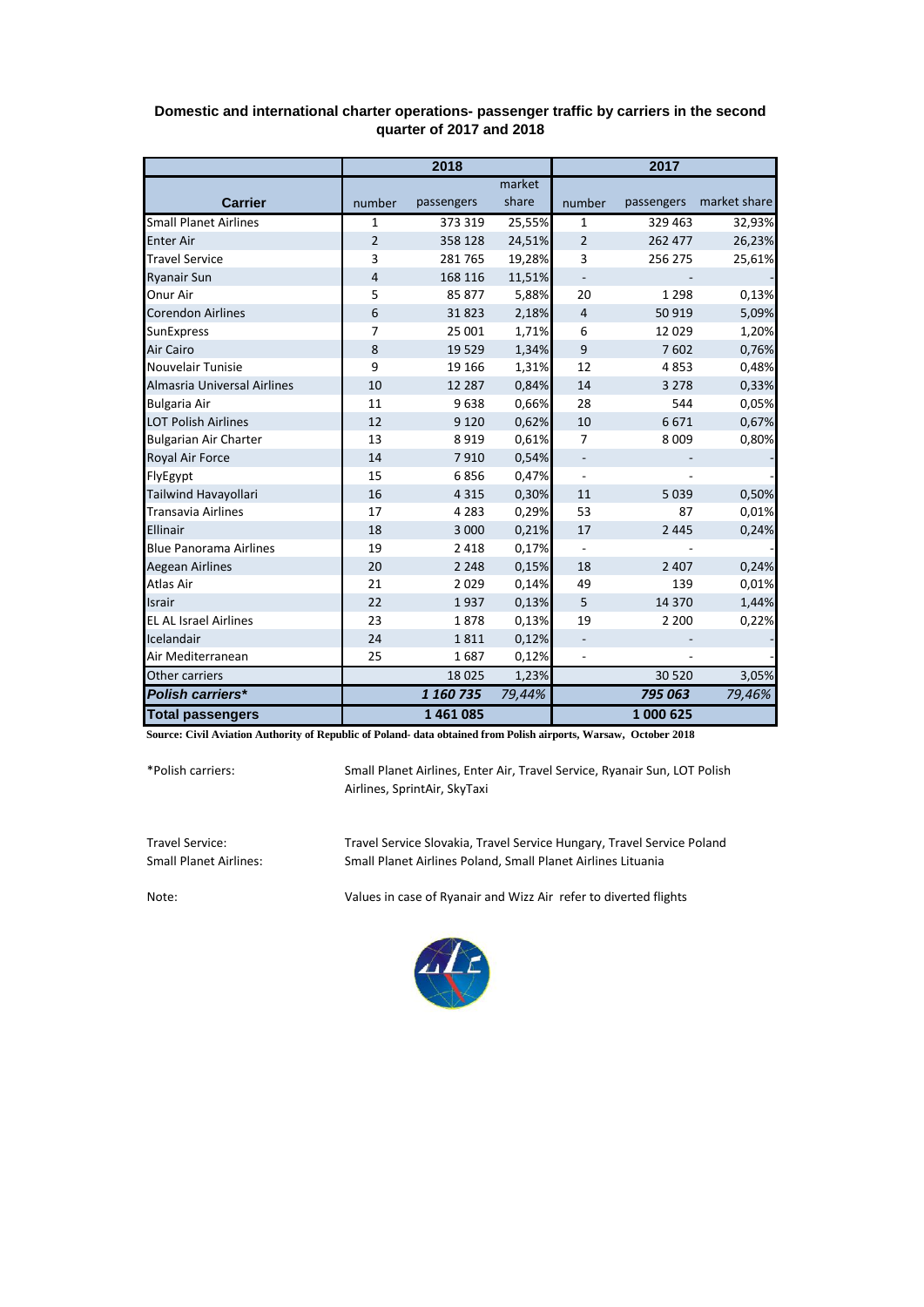|                               | 2018           |            |        | 2017                     |            |              |
|-------------------------------|----------------|------------|--------|--------------------------|------------|--------------|
|                               |                |            | market |                          |            |              |
| <b>Carrier</b>                | number         | passengers | share  | number                   | passengers | market share |
| <b>Small Planet Airlines</b>  | $\mathbf{1}$   | 373 319    | 25,55% | 1                        | 329 463    | 32,93%       |
| <b>Enter Air</b>              | $\overline{2}$ | 358 128    | 24,51% | $\overline{2}$           | 262 477    | 26,23%       |
| <b>Travel Service</b>         | 3              | 281765     | 19,28% | 3                        | 256 275    | 25,61%       |
| <b>Ryanair Sun</b>            | 4              | 168 116    | 11,51% | $\overline{\phantom{0}}$ |            |              |
| <b>Onur Air</b>               | 5              | 85 877     | 5,88%  | 20                       | 1 2 9 8    | 0,13%        |
| <b>Corendon Airlines</b>      | 6              | 31823      | 2,18%  | $\overline{4}$           | 50 919     | 5,09%        |
| <b>SunExpress</b>             | $\overline{7}$ | 25 001     | 1,71%  | 6                        | 12 0 29    | 1,20%        |
| Air Cairo                     | 8              | 19529      | 1,34%  | 9                        | 7602       | 0,76%        |
| Nouvelair Tunisie             | 9              | 19 16 6    | 1,31%  | 12                       | 4853       | 0,48%        |
| Almasria Universal Airlines   | 10             | 12 2 8 7   | 0,84%  | 14                       | 3 2 7 8    | 0,33%        |
| <b>Bulgaria Air</b>           | 11             | 9638       | 0,66%  | 28                       | 544        | 0,05%        |
| <b>LOT Polish Airlines</b>    | 12             | 9 1 2 0    | 0,62%  | 10                       | 6671       | 0,67%        |
| <b>Bulgarian Air Charter</b>  | 13             | 8919       | 0,61%  | 7                        | 8 0 0 9    | 0,80%        |
| Royal Air Force               | 14             | 7910       | 0,54%  | $\blacksquare$           |            |              |
| FlyEgypt                      | 15             | 6856       | 0,47%  | $\overline{\phantom{a}}$ |            |              |
| Tailwind Havayollari          | 16             | 4 3 1 5    | 0,30%  | 11                       | 5 0 3 9    | 0,50%        |
| <b>Transavia Airlines</b>     | 17             | 4 2 8 3    | 0,29%  | 53                       | 87         | 0,01%        |
| Ellinair                      | 18             | 3 0 0 0    | 0,21%  | 17                       | 2 4 4 5    | 0,24%        |
| <b>Blue Panorama Airlines</b> | 19             | 2 4 1 8    | 0,17%  | $\overline{\phantom{0}}$ |            |              |
| <b>Aegean Airlines</b>        | 20             | 2 2 4 8    | 0,15%  | 18                       | 2 4 0 7    | 0,24%        |
| Atlas Air                     | 21             | 2029       | 0,14%  | 49                       | 139        | 0,01%        |
| Israir                        | 22             | 1937       | 0,13%  | 5                        | 14 370     | 1,44%        |
| <b>EL AL Israel Airlines</b>  | 23             | 1878       | 0,13%  | 19                       | 2 2 0 0    | 0,22%        |
| Icelandair                    | 24             | 1811       | 0,12%  |                          |            |              |
| Air Mediterranean             | 25             | 1687       | 0,12%  |                          |            |              |
| Other carriers                |                | 18025      | 1,23%  |                          | 30 5 20    | 3,05%        |
| Polish carriers*              |                | 1 160 735  | 79,44% |                          | 795 063    | 79,46%       |
| <b>Total passengers</b>       |                | 1461085    |        |                          | 1 000 625  |              |

## **Domestic and international charter operations- passenger traffic by carriers in the second quarter of 2017 and 2018**

**Source: Civil Aviation Authority of Republic of Poland- data obtained from Polish airports, Warsaw, October 2018**

\*Polish carriers:

Small Planet Airlines, Enter Air, Travel Service, Ryanair Sun, LOT Polish Airlines, SprintAir, SkyTaxi

Travel Service: Travel Service Slovakia, Travel Service Hungary, Travel Service Poland Small Planet Airlines Poland, Small Planet Airlines Lituania

Note: Values in case of Ryanair and Wizz Air refer to diverted flights